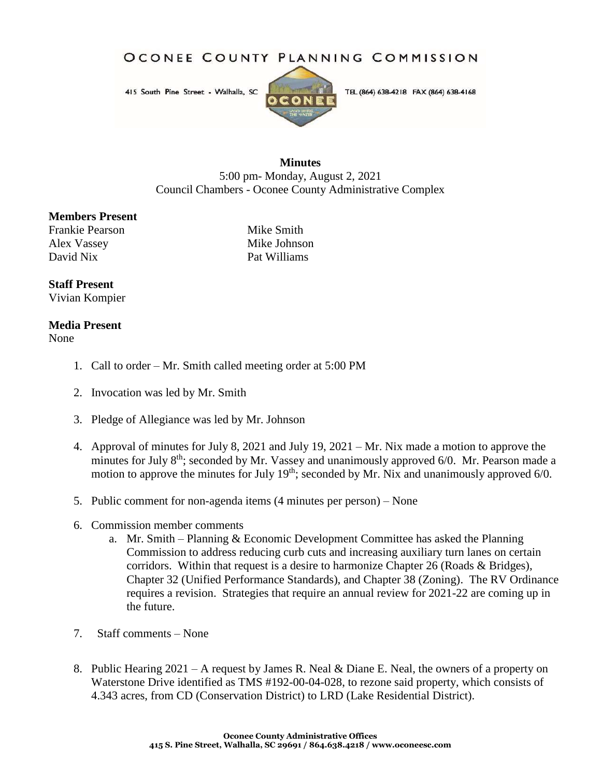OCONEE COUNTY PLANNING COMMISSION

415 South Pine Street - Walhalla, SC



TEL (864) 638-4218 FAX (864) 638-4168

## **Minutes** 5:00 pm- Monday, August 2, 2021 Council Chambers - Oconee County Administrative Complex

## **Members Present**

Frankie Pearson Mike Smith Alex Vassey Mike Johnson David Nix Pat Williams

## **Staff Present**

Vivian Kompier

## **Media Present**

None

- 1. Call to order Mr. Smith called meeting order at 5:00 PM
- 2. Invocation was led by Mr. Smith
- 3. Pledge of Allegiance was led by Mr. Johnson
- 4. Approval of minutes for July 8, 2021 and July 19, 2021 Mr. Nix made a motion to approve the minutes for July  $8<sup>th</sup>$ ; seconded by Mr. Vassey and unanimously approved 6/0. Mr. Pearson made a motion to approve the minutes for July 19<sup>th</sup>; seconded by Mr. Nix and unanimously approved 6/0.
- 5. Public comment for non-agenda items (4 minutes per person) None
- 6. Commission member comments
	- a. Mr. Smith Planning & Economic Development Committee has asked the Planning Commission to address reducing curb cuts and increasing auxiliary turn lanes on certain corridors. Within that request is a desire to harmonize Chapter 26 (Roads & Bridges), Chapter 32 (Unified Performance Standards), and Chapter 38 (Zoning). The RV Ordinance requires a revision. Strategies that require an annual review for 2021-22 are coming up in the future.
- 7. Staff comments None
- 8. Public Hearing 2021 A request by James R. Neal & Diane E. Neal, the owners of a property on Waterstone Drive identified as TMS #192-00-04-028, to rezone said property, which consists of 4.343 acres, from CD (Conservation District) to LRD (Lake Residential District).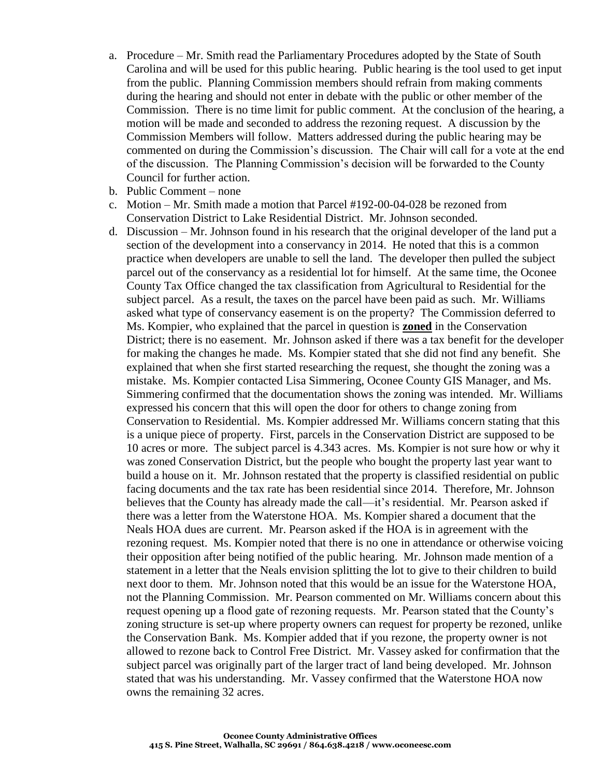- a. Procedure Mr. Smith read the Parliamentary Procedures adopted by the State of South Carolina and will be used for this public hearing. Public hearing is the tool used to get input from the public. Planning Commission members should refrain from making comments during the hearing and should not enter in debate with the public or other member of the Commission. There is no time limit for public comment. At the conclusion of the hearing, a motion will be made and seconded to address the rezoning request. A discussion by the Commission Members will follow. Matters addressed during the public hearing may be commented on during the Commission's discussion. The Chair will call for a vote at the end of the discussion. The Planning Commission's decision will be forwarded to the County Council for further action.
- b. Public Comment none
- c. Motion Mr. Smith made a motion that Parcel #192-00-04-028 be rezoned from Conservation District to Lake Residential District. Mr. Johnson seconded.
- d. Discussion Mr. Johnson found in his research that the original developer of the land put a section of the development into a conservancy in 2014. He noted that this is a common practice when developers are unable to sell the land. The developer then pulled the subject parcel out of the conservancy as a residential lot for himself. At the same time, the Oconee County Tax Office changed the tax classification from Agricultural to Residential for the subject parcel. As a result, the taxes on the parcel have been paid as such. Mr. Williams asked what type of conservancy easement is on the property? The Commission deferred to Ms. Kompier, who explained that the parcel in question is **zoned** in the Conservation District; there is no easement. Mr. Johnson asked if there was a tax benefit for the developer for making the changes he made. Ms. Kompier stated that she did not find any benefit. She explained that when she first started researching the request, she thought the zoning was a mistake. Ms. Kompier contacted Lisa Simmering, Oconee County GIS Manager, and Ms. Simmering confirmed that the documentation shows the zoning was intended. Mr. Williams expressed his concern that this will open the door for others to change zoning from Conservation to Residential. Ms. Kompier addressed Mr. Williams concern stating that this is a unique piece of property. First, parcels in the Conservation District are supposed to be 10 acres or more. The subject parcel is 4.343 acres. Ms. Kompier is not sure how or why it was zoned Conservation District, but the people who bought the property last year want to build a house on it. Mr. Johnson restated that the property is classified residential on public facing documents and the tax rate has been residential since 2014. Therefore, Mr. Johnson believes that the County has already made the call—it's residential. Mr. Pearson asked if there was a letter from the Waterstone HOA. Ms. Kompier shared a document that the Neals HOA dues are current. Mr. Pearson asked if the HOA is in agreement with the rezoning request. Ms. Kompier noted that there is no one in attendance or otherwise voicing their opposition after being notified of the public hearing. Mr. Johnson made mention of a statement in a letter that the Neals envision splitting the lot to give to their children to build next door to them. Mr. Johnson noted that this would be an issue for the Waterstone HOA, not the Planning Commission. Mr. Pearson commented on Mr. Williams concern about this request opening up a flood gate of rezoning requests. Mr. Pearson stated that the County's zoning structure is set-up where property owners can request for property be rezoned, unlike the Conservation Bank. Ms. Kompier added that if you rezone, the property owner is not allowed to rezone back to Control Free District. Mr. Vassey asked for confirmation that the subject parcel was originally part of the larger tract of land being developed. Mr. Johnson stated that was his understanding. Mr. Vassey confirmed that the Waterstone HOA now owns the remaining 32 acres.